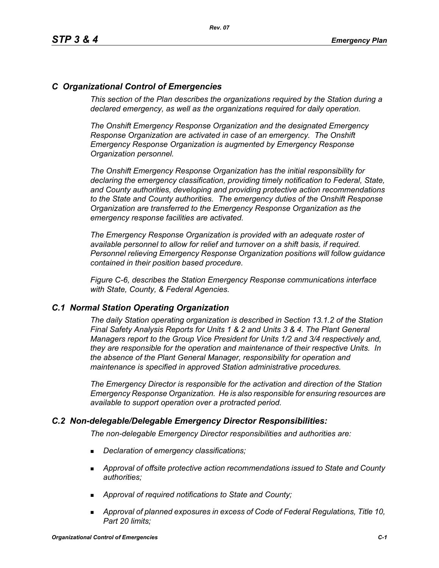# *C Organizational Control of Emergencies*

*This section of the Plan describes the organizations required by the Station during a declared emergency, as well as the organizations required for daily operation.*

*The Onshift Emergency Response Organization and the designated Emergency Response Organization are activated in case of an emergency. The Onshift Emergency Response Organization is augmented by Emergency Response Organization personnel.* 

*The Onshift Emergency Response Organization has the initial responsibility for declaring the emergency classification, providing timely notification to Federal, State, and County authorities, developing and providing protective action recommendations to the State and County authorities. The emergency duties of the Onshift Response Organization are transferred to the Emergency Response Organization as the emergency response facilities are activated.* 

*The Emergency Response Organization is provided with an adequate roster of available personnel to allow for relief and turnover on a shift basis, if required. Personnel relieving Emergency Response Organization positions will follow guidance contained in their position based procedure.*

*Figure C-6, describes the Station Emergency Response communications interface with State, County, & Federal Agencies.*

## *C.1 Normal Station Operating Organization*

*The daily Station operating organization is described in Section 13.1.2 of the Station Final Safety Analysis Reports for Units 1 & 2 and Units 3 & 4. The Plant General Managers report to the Group Vice President for Units 1/2 and 3/4 respectively and, they are responsible for the operation and maintenance of their respective Units. In the absence of the Plant General Manager, responsibility for operation and maintenance is specified in approved Station administrative procedures.*

*The Emergency Director is responsible for the activation and direction of the Station Emergency Response Organization. He is also responsible for ensuring resources are available to support operation over a protracted period.*

## *C.2 Non-delegable/Delegable Emergency Director Responsibilities:*

*The non-delegable Emergency Director responsibilities and authorities are:*

- *Declaration of emergency classifications;*
- *Approval of offsite protective action recommendations issued to State and County authorities;*
- *Approval of required notifications to State and County;*
- *Approval of planned exposures in excess of Code of Federal Regulations, Title 10, Part 20 limits;*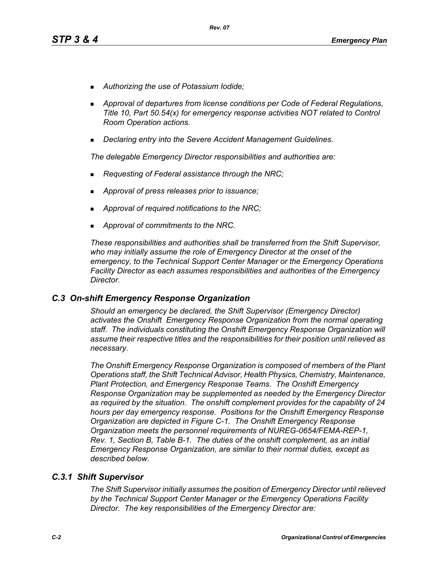- *Authorizing the use of Potassium Iodide;*
- *Approval of departures from license conditions per Code of Federal Regulations, Title 10, Part 50.54(x) for emergency response activities NOT related to Control Room Operation actions.*
- *Declaring entry into the Severe Accident Management Guidelines.*

*The delegable Emergency Director responsibilities and authorities are:*

- *Requesting of Federal assistance through the NRC;*
- *Approval of press releases prior to issuance;*
- *Approval of required notifications to the NRC;*
- *Approval of commitments to the NRC.*

*These responsibilities and authorities shall be transferred from the Shift Supervisor, who may initially assume the role of Emergency Director at the onset of the emergency, to the Technical Support Center Manager or the Emergency Operations Facility Director as each assumes responsibilities and authorities of the Emergency Director.*

## *C.3 On-shift Emergency Response Organization*

*Should an emergency be declared, the Shift Supervisor (Emergency Director) activates the Onshift Emergency Response Organization from the normal operating staff. The individuals constituting the Onshift Emergency Response Organization will assume their respective titles and the responsibilities for their position until relieved as necessary.*

*The Onshift Emergency Response Organization is composed of members of the Plant Operations staff, the Shift Technical Advisor, Health Physics, Chemistry, Maintenance, Plant Protection, and Emergency Response Teams. The Onshift Emergency Response Organization may be supplemented as needed by the Emergency Director as required by the situation. The onshift complement provides for the capability of 24 hours per day emergency response. Positions for the Onshift Emergency Response Organization are depicted in Figure C-1. The Onshift Emergency Response Organization meets the personnel requirements of NUREG-0654/FEMA-REP-1, Rev. 1, Section B, Table B-1. The duties of the onshift complement, as an initial Emergency Response Organization, are similar to their normal duties, except as described below.*

## *C.3.1 Shift Supervisor*

*The Shift Supervisor initially assumes the position of Emergency Director until relieved by the Technical Support Center Manager or the Emergency Operations Facility Director. The key responsibilities of the Emergency Director are:*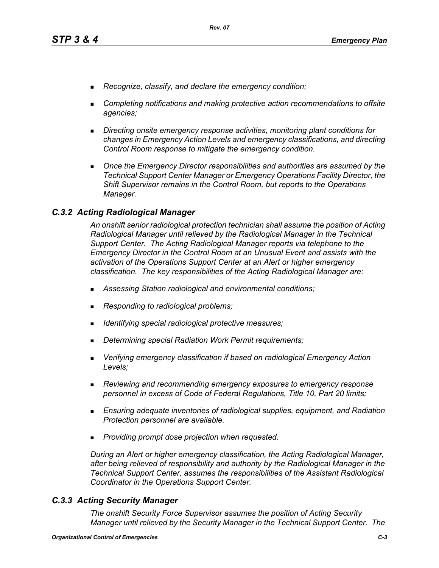- *Recognize, classify, and declare the emergency condition;*
- *Completing notifications and making protective action recommendations to offsite agencies;*
- *Directing onsite emergency response activities, monitoring plant conditions for changes in Emergency Action Levels and emergency classifications, and directing Control Room response to mitigate the emergency condition.*
- **Diangleh Emergency Director responsibilities and authorities are assumed by the** *Technical Support Center Manager or Emergency Operations Facility Director, the Shift Supervisor remains in the Control Room, but reports to the Operations Manager.*

## *C.3.2 Acting Radiological Manager*

*An onshift senior radiological protection technician shall assume the position of Acting Radiological Manager until relieved by the Radiological Manager in the Technical Support Center. The Acting Radiological Manager reports via telephone to the Emergency Director in the Control Room at an Unusual Event and assists with the activation of the Operations Support Center at an Alert or higher emergency classification. The key responsibilities of the Acting Radiological Manager are:*

- *Assessing Station radiological and environmental conditions;*
- *Responding to radiological problems;*
- *Identifying special radiological protective measures;*
- *Determining special Radiation Work Permit requirements;*
- *Verifying emergency classification if based on radiological Emergency Action Levels;*
- *Reviewing and recommending emergency exposures to emergency response personnel in excess of Code of Federal Regulations, Title 10, Part 20 limits;*
- *Ensuring adequate inventories of radiological supplies, equipment, and Radiation Protection personnel are available.*
- *Providing prompt dose projection when requested.*

*During an Alert or higher emergency classification, the Acting Radiological Manager, after being relieved of responsibility and authority by the Radiological Manager in the Technical Support Center, assumes the responsibilities of the Assistant Radiological Coordinator in the Operations Support Center.*

## *C.3.3 Acting Security Manager*

*The onshift Security Force Supervisor assumes the position of Acting Security Manager until relieved by the Security Manager in the Technical Support Center. The*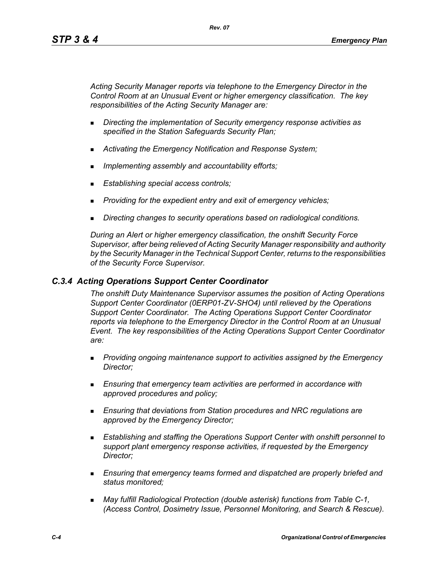*Acting Security Manager reports via telephone to the Emergency Director in the Control Room at an Unusual Event or higher emergency classification. The key responsibilities of the Acting Security Manager are:*

- *Directing the implementation of Security emergency response activities as specified in the Station Safeguards Security Plan;*
- *Activating the Emergency Notification and Response System;*
- *Implementing assembly and accountability efforts;*
- *Establishing special access controls;*
- *Providing for the expedient entry and exit of emergency vehicles;*
- *Directing changes to security operations based on radiological conditions.*

*During an Alert or higher emergency classification, the onshift Security Force Supervisor, after being relieved of Acting Security Manager responsibility and authority by the Security Manager in the Technical Support Center, returns to the responsibilities of the Security Force Supervisor.*

## *C.3.4 Acting Operations Support Center Coordinator*

*The onshift Duty Maintenance Supervisor assumes the position of Acting Operations Support Center Coordinator (0ERP01-ZV-SHO4) until relieved by the Operations Support Center Coordinator. The Acting Operations Support Center Coordinator reports via telephone to the Emergency Director in the Control Room at an Unusual Event. The key responsibilities of the Acting Operations Support Center Coordinator are:*

- *Providing ongoing maintenance support to activities assigned by the Emergency Director;*
- *Ensuring that emergency team activities are performed in accordance with approved procedures and policy;*
- *Ensuring that deviations from Station procedures and NRC regulations are approved by the Emergency Director;*
- *Establishing and staffing the Operations Support Center with onshift personnel to support plant emergency response activities, if requested by the Emergency Director;*
- *Ensuring that emergency teams formed and dispatched are properly briefed and status monitored;*
- *May fulfill Radiological Protection (double asterisk) functions from Table C-1, (Access Control, Dosimetry Issue, Personnel Monitoring, and Search & Rescue).*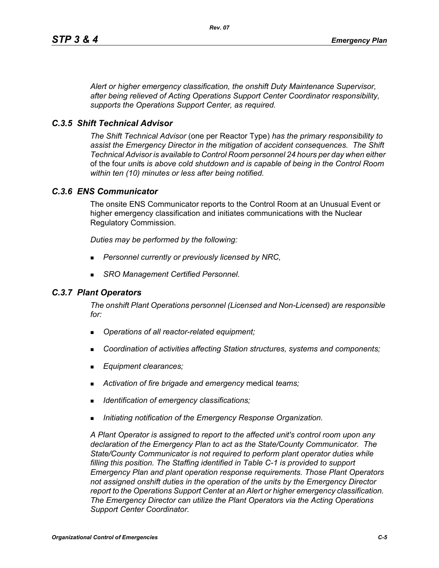*Alert or higher emergency classification, the onshift Duty Maintenance Supervisor, after being relieved of Acting Operations Support Center Coordinator responsibility, supports the Operations Support Center, as required.*

## *C.3.5 Shift Technical Advisor*

*The Shift Technical Advisor* (one per Reactor Type) *has the primary responsibility to assist the Emergency Director in the mitigation of accident consequences. The Shift Technical Advisor is available to Control Room personnel 24 hours per day when either*  of the four *unit*s *is above cold shutdown and is capable of being in the Control Room within ten (10) minutes or less after being notified.*

## *C.3.6 ENS Communicator*

The onsite ENS Communicator reports to the Control Room at an Unusual Event or higher emergency classification and initiates communications with the Nuclear Regulatory Commission.

*Duties may be performed by the following:*

- *Personnel currently or previously licensed by NRC,*
- *SRO Management Certified Personnel.*

## *C.3.7 Plant Operators*

*The onshift Plant Operations personnel (Licensed and Non-Licensed) are responsible for:*

- *Operations of all reactor-related equipment;*
- *Coordination of activities affecting Station structures, systems and components;*
- *Equipment clearances;*
- *Activation of fire brigade and emergency* medical *teams;*
- *Identification of emergency classifications;*
- *Initiating notification of the Emergency Response Organization.*

*A Plant Operator is assigned to report to the affected unit's control room upon any declaration of the Emergency Plan to act as the State/County Communicator. The State/County Communicator is not required to perform plant operator duties while filling this position. The Staffing identified in Table C-1 is provided to support Emergency Plan and plant operation response requirements. Those Plant Operators not assigned onshift duties in the operation of the units by the Emergency Director report to the Operations Support Center at an Alert or higher emergency classification. The Emergency Director can utilize the Plant Operators via the Acting Operations Support Center Coordinator.*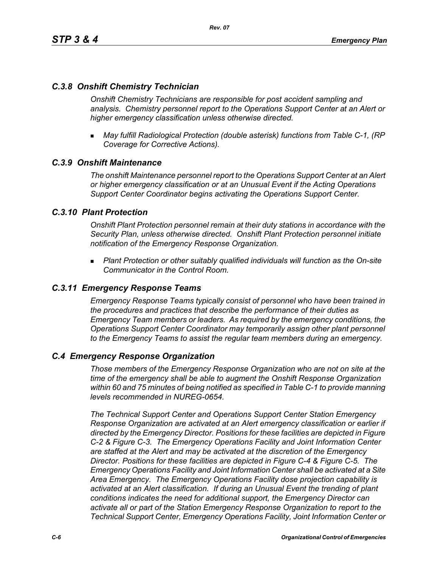## *C.3.8 Onshift Chemistry Technician*

*Onshift Chemistry Technicians are responsible for post accident sampling and analysis. Chemistry personnel report to the Operations Support Center at an Alert or higher emergency classification unless otherwise directed.*

 *May fulfill Radiological Protection (double asterisk) functions from Table C-1, (RP Coverage for Corrective Actions).*

## *C.3.9 Onshift Maintenance*

*The onshift Maintenance personnel report to the Operations Support Center at an Alert or higher emergency classification or at an Unusual Event if the Acting Operations Support Center Coordinator begins activating the Operations Support Center.*

## *C.3.10 Plant Protection*

*Onshift Plant Protection personnel remain at their duty stations in accordance with the Security Plan, unless otherwise directed. Onshift Plant Protection personnel initiate notification of the Emergency Response Organization.*

 *Plant Protection or other suitably qualified individuals will function as the On-site Communicator in the Control Room.*

## *C.3.11 Emergency Response Teams*

*Emergency Response Teams typically consist of personnel who have been trained in the procedures and practices that describe the performance of their duties as Emergency Team members or leaders. As required by the emergency conditions, the Operations Support Center Coordinator may temporarily assign other plant personnel to the Emergency Teams to assist the regular team members during an emergency.*

## *C.4 Emergency Response Organization*

*Those members of the Emergency Response Organization who are not on site at the time of the emergency shall be able to augment the Onshift Response Organization within 60 and 75 minutes of being notified as specified in Table C-1 to provide manning levels recommended in NUREG-0654.*

*The Technical Support Center and Operations Support Center Station Emergency Response Organization are activated at an Alert emergency classification or earlier if directed by the Emergency Director. Positions for these facilities are depicted in Figure C-2 & Figure C-3. The Emergency Operations Facility and Joint Information Center are staffed at the Alert and may be activated at the discretion of the Emergency Director. Positions for these facilities are depicted in Figure C-4 & Figure C-5. The Emergency Operations Facility and Joint Information Center shall be activated at a Site Area Emergency. The Emergency Operations Facility dose projection capability is activated at an Alert classification. If during an Unusual Event the trending of plant conditions indicates the need for additional support, the Emergency Director can activate all or part of the Station Emergency Response Organization to report to the Technical Support Center, Emergency Operations Facility, Joint Information Center or*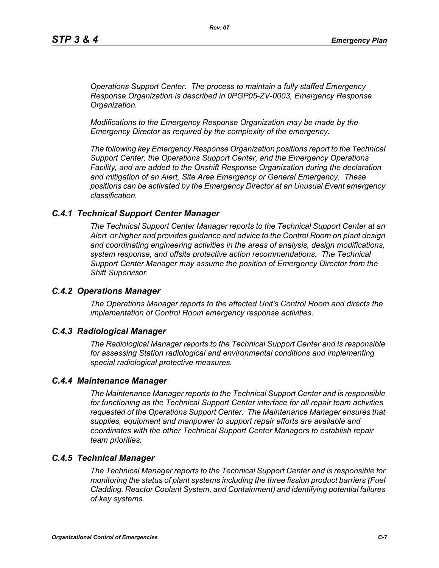*Operations Support Center. The process to maintain a fully staffed Emergency Response Organization is described in 0PGP05-ZV-0003, Emergency Response Organization.*

*Modifications to the Emergency Response Organization may be made by the Emergency Director as required by the complexity of the emergency.*

*The following key Emergency Response Organization positions report to the Technical Support Center, the Operations Support Center, and the Emergency Operations Facility, and are added to the Onshift Response Organization during the declaration and mitigation of an Alert, Site Area Emergency or General Emergency. These positions can be activated by the Emergency Director at an Unusual Event emergency classification.*

#### *C.4.1 Technical Support Center Manager*

*The Technical Support Center Manager reports to the Technical Support Center at an Alert or higher and provides guidance and advice to the Control Room on plant design and coordinating engineering activities in the areas of analysis, design modifications, system response, and offsite protective action recommendations. The Technical Support Center Manager may assume the position of Emergency Director from the Shift Supervisor.*

#### *C.4.2 Operations Manager*

*The Operations Manager reports to the affected Unit's Control Room and directs the implementation of Control Room emergency response activities.*

#### *C.4.3 Radiological Manager*

*The Radiological Manager reports to the Technical Support Center and is responsible for assessing Station radiological and environmental conditions and implementing special radiological protective measures.*

#### *C.4.4 Maintenance Manager*

*The Maintenance Manager reports to the Technical Support Center and is responsible for functioning as the Technical Support Center interface for all repair team activities requested of the Operations Support Center. The Maintenance Manager ensures that supplies, equipment and manpower to support repair efforts are available and coordinates with the other Technical Support Center Managers to establish repair team priorities.* 

## *C.4.5 Technical Manager*

*The Technical Manager reports to the Technical Support Center and is responsible for monitoring the status of plant systems including the three fission product barriers (Fuel Cladding, Reactor Coolant System, and Containment) and identifying potential failures of key systems.*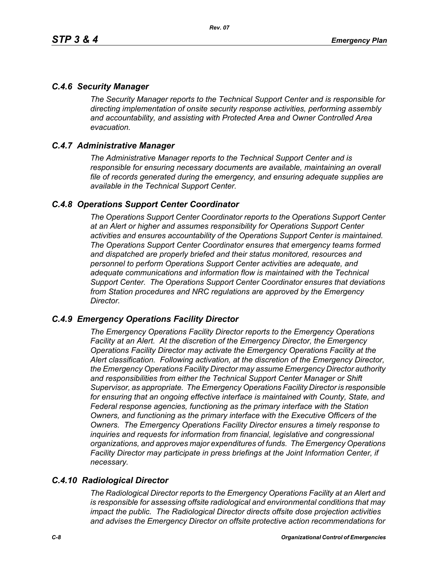## *C.4.6 Security Manager*

*The Security Manager reports to the Technical Support Center and is responsible for directing implementation of onsite security response activities, performing assembly and accountability, and assisting with Protected Area and Owner Controlled Area evacuation.* 

## *C.4.7 Administrative Manager*

*The Administrative Manager reports to the Technical Support Center and is responsible for ensuring necessary documents are available, maintaining an overall file of records generated during the emergency, and ensuring adequate supplies are available in the Technical Support Center.* 

## *C.4.8 Operations Support Center Coordinator*

*The Operations Support Center Coordinator reports to the Operations Support Center at an Alert or higher and assumes responsibility for Operations Support Center activities and ensures accountability of the Operations Support Center is maintained. The Operations Support Center Coordinator ensures that emergency teams formed and dispatched are properly briefed and their status monitored, resources and personnel to perform Operations Support Center activities are adequate, and adequate communications and information flow is maintained with the Technical Support Center. The Operations Support Center Coordinator ensures that deviations from Station procedures and NRC regulations are approved by the Emergency Director.* 

## *C.4.9 Emergency Operations Facility Director*

*The Emergency Operations Facility Director reports to the Emergency Operations Facility at an Alert. At the discretion of the Emergency Director, the Emergency Operations Facility Director may activate the Emergency Operations Facility at the Alert classification. Following activation, at the discretion of the Emergency Director, the Emergency Operations Facility Director may assume Emergency Director authority and responsibilities from either the Technical Support Center Manager or Shift Supervisor, as appropriate. The Emergency Operations Facility Director is responsible*  for ensuring that an ongoing effective interface is maintained with County, State, and *Federal response agencies, functioning as the primary interface with the Station Owners, and functioning as the primary interface with the Executive Officers of the Owners. The Emergency Operations Facility Director ensures a timely response to inquiries and requests for information from financial, legislative and congressional organizations, and approves major expenditures of funds. The Emergency Operations Facility Director may participate in press briefings at the Joint Information Center, if necessary.* 

# *C.4.10 Radiological Director*

*The Radiological Director reports to the Emergency Operations Facility at an Alert and is responsible for assessing offsite radiological and environmental conditions that may impact the public. The Radiological Director directs offsite dose projection activities and advises the Emergency Director on offsite protective action recommendations for*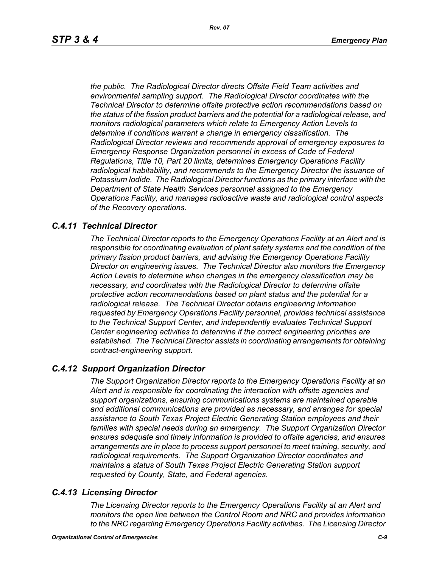*the public. The Radiological Director directs Offsite Field Team activities and environmental sampling support. The Radiological Director coordinates with the Technical Director to determine offsite protective action recommendations based on the status of the fission product barriers and the potential for a radiological release, and monitors radiological parameters which relate to Emergency Action Levels to determine if conditions warrant a change in emergency classification. The Radiological Director reviews and recommends approval of emergency exposures to Emergency Response Organization personnel in excess of Code of Federal Regulations, Title 10, Part 20 limits, determines Emergency Operations Facility radiological habitability, and recommends to the Emergency Director the issuance of Potassium Iodide. The Radiological Director functions as the primary interface with the Department of State Health Services personnel assigned to the Emergency Operations Facility, and manages radioactive waste and radiological control aspects of the Recovery operations.* 

## *C.4.11 Technical Director*

*The Technical Director reports to the Emergency Operations Facility at an Alert and is responsible for coordinating evaluation of plant safety systems and the condition of the primary fission product barriers, and advising the Emergency Operations Facility Director on engineering issues. The Technical Director also monitors the Emergency Action Levels to determine when changes in the emergency classification may be necessary, and coordinates with the Radiological Director to determine offsite protective action recommendations based on plant status and the potential for a radiological release. The Technical Director obtains engineering information requested by Emergency Operations Facility personnel, provides technical assistance to the Technical Support Center, and independently evaluates Technical Support Center engineering activities to determine if the correct engineering priorities are established. The Technical Director assists in coordinating arrangements for obtaining contract-engineering support.* 

## *C.4.12 Support Organization Director*

*The Support Organization Director reports to the Emergency Operations Facility at an Alert and is responsible for coordinating the interaction with offsite agencies and support organizations, ensuring communications systems are maintained operable and additional communications are provided as necessary, and arranges for special assistance to South Texas Project Electric Generating Station employees and their families with special needs during an emergency. The Support Organization Director ensures adequate and timely information is provided to offsite agencies, and ensures arrangements are in place to process support personnel to meet training, security, and radiological requirements. The Support Organization Director coordinates and maintains a status of South Texas Project Electric Generating Station support requested by County, State, and Federal agencies.*

## *C.4.13 Licensing Director*

*The Licensing Director reports to the Emergency Operations Facility at an Alert and monitors the open line between the Control Room and NRC and provides information to the NRC regarding Emergency Operations Facility activities. The Licensing Director*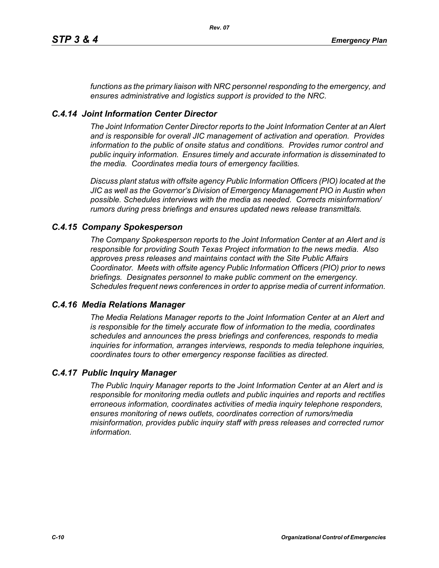*functions as the primary liaison with NRC personnel responding to the emergency, and ensures administrative and logistics support is provided to the NRC.*

## *C.4.14 Joint Information Center Director*

*The Joint Information Center Director reports to the Joint Information Center at an Alert and is responsible for overall JIC management of activation and operation. Provides information to the public of onsite status and conditions. Provides rumor control and public inquiry information. Ensures timely and accurate information is disseminated to the media. Coordinates media tours of emergency facilities.* 

*Discuss plant status with offsite agency Public Information Officers (PIO) located at the JIC as well as the Governor's Division of Emergency Management PIO in Austin when possible. Schedules interviews with the media as needed. Corrects misinformation/ rumors during press briefings and ensures updated news release transmittals.*

## *C.4.15 Company Spokesperson*

*The Company Spokesperson reports to the Joint Information Center at an Alert and is responsible for providing South Texas Project information to the news media. Also approves press releases and maintains contact with the Site Public Affairs Coordinator. Meets with offsite agency Public Information Officers (PIO) prior to news briefings. Designates personnel to make public comment on the emergency. Schedules frequent news conferences in order to apprise media of current information.* 

## *C.4.16 Media Relations Manager*

*The Media Relations Manager reports to the Joint Information Center at an Alert and is responsible for the timely accurate flow of information to the media, coordinates schedules and announces the press briefings and conferences, responds to media inquiries for information, arranges interviews, responds to media telephone inquiries, coordinates tours to other emergency response facilities as directed.*

## *C.4.17 Public Inquiry Manager*

*The Public Inquiry Manager reports to the Joint Information Center at an Alert and is responsible for monitoring media outlets and public inquiries and reports and rectifies erroneous information, coordinates activities of media inquiry telephone responders, ensures monitoring of news outlets, coordinates correction of rumors/media misinformation, provides public inquiry staff with press releases and corrected rumor information.*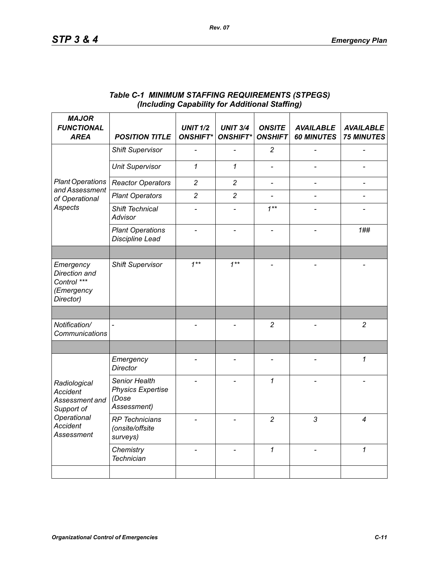| <b>MAJOR</b><br><b>FUNCTIONAL</b><br><b>AREA</b>                                                                       | <b>POSITION TITLE</b>                                             | <b>UNIT 1/2</b><br><b>ONSHIFT*</b> | <b>UNIT 3/4</b><br><b>ONSHIFT*</b> | <b>ONSITE</b><br><b>ONSHIFT</b> | <b>AVAILABLE</b><br><b>60 MINUTES</b> | <b>AVAILABLE</b><br><b>75 MINUTES</b> |
|------------------------------------------------------------------------------------------------------------------------|-------------------------------------------------------------------|------------------------------------|------------------------------------|---------------------------------|---------------------------------------|---------------------------------------|
| <b>Plant Operations</b><br>and Assessment<br>of Operational<br>Aspects                                                 | <b>Shift Supervisor</b>                                           |                                    |                                    | $\overline{c}$                  |                                       |                                       |
|                                                                                                                        | <b>Unit Supervisor</b>                                            | 1                                  | $\mathbf{1}$                       |                                 |                                       |                                       |
|                                                                                                                        | <b>Reactor Operators</b>                                          | $\overline{c}$                     | $\overline{c}$                     | $\qquad \qquad \blacksquare$    | $\overline{\phantom{0}}$              | $\qquad \qquad \blacksquare$          |
|                                                                                                                        | <b>Plant Operators</b>                                            | $\overline{c}$                     | $\overline{c}$                     |                                 |                                       |                                       |
|                                                                                                                        | Shift Technical<br>Advisor                                        |                                    |                                    | $1***$                          |                                       |                                       |
|                                                                                                                        | <b>Plant Operations</b><br><b>Discipline Lead</b>                 |                                    |                                    |                                 |                                       | 1##                                   |
|                                                                                                                        |                                                                   |                                    |                                    |                                 |                                       |                                       |
| Emergency<br>Direction and<br>Control ***<br>(Emergency<br>Director)                                                   | <b>Shift Supervisor</b>                                           | $1***$                             | $1***$                             |                                 |                                       |                                       |
|                                                                                                                        |                                                                   |                                    |                                    |                                 |                                       |                                       |
| Notification/<br>Communications                                                                                        | $\overline{a}$                                                    |                                    |                                    | $\overline{c}$                  |                                       | $\overline{2}$                        |
|                                                                                                                        |                                                                   |                                    |                                    |                                 |                                       |                                       |
| Radiological<br><b>Accident</b><br>Assessment and<br>Support of<br>Operational<br><b>Accident</b><br><b>Assessment</b> | Emergency<br><b>Director</b>                                      |                                    |                                    | $\overline{a}$                  |                                       | 1                                     |
|                                                                                                                        | Senior Health<br><b>Physics Expertise</b><br>(Dose<br>Assessment) |                                    |                                    | $\mathcal I$                    |                                       |                                       |
|                                                                                                                        | <b>RP</b> Technicians<br>(onsite/offsite<br>surveys)              |                                    |                                    | $\overline{c}$                  | 3                                     | 4                                     |
|                                                                                                                        | Chemistry<br><b>Technician</b>                                    |                                    |                                    | $\mathcal I$                    |                                       | $\mathcal I$                          |
|                                                                                                                        |                                                                   |                                    |                                    |                                 |                                       |                                       |

## *Table C-1 MINIMUM STAFFING REQUIREMENTS (STPEGS) (Including Capability for Additional Staffing)*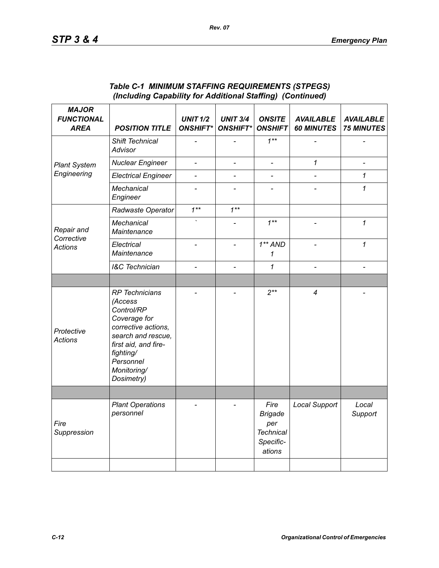| <b>MAJOR</b><br><b>FUNCTIONAL</b><br><b>AREA</b> | <b>POSITION TITLE</b>                                                                                                                                                                      | <b>UNIT 1/2</b><br><b>ONSHIFT*</b> | <b>UNIT 3/4</b><br><b>ONSHIFT*</b> | <b>ONSITE</b><br><b>ONSHIFT</b>                                          | <b>AVAILABLE</b><br><b>60 MINUTES</b> | <b>AVAILABLE</b><br><b>75 MINUTES</b> |
|--------------------------------------------------|--------------------------------------------------------------------------------------------------------------------------------------------------------------------------------------------|------------------------------------|------------------------------------|--------------------------------------------------------------------------|---------------------------------------|---------------------------------------|
| <b>Plant System</b>                              | Shift Technical<br>Advisor                                                                                                                                                                 |                                    |                                    | $1***$                                                                   |                                       |                                       |
|                                                  | <b>Nuclear Engineer</b>                                                                                                                                                                    | $\qquad \qquad \blacksquare$       | $\overline{\phantom{a}}$           | $\frac{1}{2}$                                                            | 1                                     |                                       |
| Engineering                                      | <b>Electrical Engineer</b>                                                                                                                                                                 | $\overline{a}$                     | $\overline{a}$                     | $\overline{a}$                                                           |                                       | 1                                     |
|                                                  | Mechanical<br>Engineer                                                                                                                                                                     |                                    |                                    |                                                                          |                                       | 1                                     |
| Repair and<br>Corrective<br><b>Actions</b>       | Radwaste Operator                                                                                                                                                                          | $1***$                             | $1***$                             |                                                                          |                                       |                                       |
|                                                  | Mechanical<br>Maintenance                                                                                                                                                                  |                                    |                                    | $1**$                                                                    |                                       | 1                                     |
|                                                  | Electrical<br>Maintenance                                                                                                                                                                  |                                    | $\overline{a}$                     | $1**AND$<br>1                                                            | $\overline{a}$                        | $\mathcal I$                          |
|                                                  | <b>I&amp;C</b> Technician                                                                                                                                                                  |                                    | $\overline{\phantom{0}}$           | 1                                                                        |                                       |                                       |
|                                                  |                                                                                                                                                                                            |                                    |                                    |                                                                          |                                       |                                       |
| Protective<br><b>Actions</b>                     | <b>RP</b> Technicians<br>(Access<br>Control/RP<br>Coverage for<br>corrective actions,<br>search and rescue,<br>first aid, and fire-<br>fighting/<br>Personnel<br>Monitoring/<br>Dosimetry) |                                    |                                    | $2***$                                                                   | $\overline{4}$                        |                                       |
|                                                  |                                                                                                                                                                                            |                                    |                                    |                                                                          |                                       |                                       |
| Fire<br>Suppression                              | <b>Plant Operations</b><br>personnel                                                                                                                                                       |                                    |                                    | Fire<br><b>Brigade</b><br>per<br><b>Technical</b><br>Specific-<br>ations | <b>Local Support</b>                  | Local<br>Support                      |
|                                                  |                                                                                                                                                                                            |                                    |                                    |                                                                          |                                       |                                       |

## *Table C-1 MINIMUM STAFFING REQUIREMENTS (STPEGS) (Including Capability for Additional Staffing) (Continued)*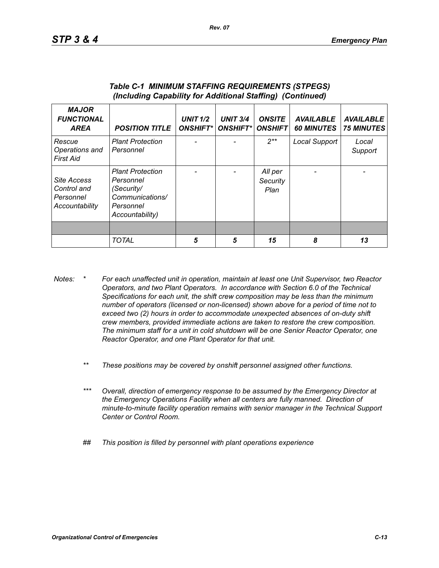| <b>MAJOR</b><br><b>FUNCTIONAL</b><br><b>AREA</b>          | <b>POSITION TITLE</b>                                                                                 | <b>UNIT 1/2</b><br><b>ONSHIFT*</b> | <b>UNIT 3/4</b><br><b>ONSHIFT*I</b> | <b>ONSITE</b><br><b>ONSHIFT</b> | <b>AVAILABLE</b><br><b>60 MINUTES</b> | <b>AVAILABLE</b><br><b>75 MINUTES</b> |
|-----------------------------------------------------------|-------------------------------------------------------------------------------------------------------|------------------------------------|-------------------------------------|---------------------------------|---------------------------------------|---------------------------------------|
| Rescue<br>Operations and<br>First Aid                     | <b>Plant Protection</b><br>Personnel                                                                  |                                    |                                     | $2**$                           | Local Support                         | Local<br>Support                      |
| Site Access<br>Control and<br>Personnel<br>Accountability | <b>Plant Protection</b><br>Personnel<br>(Security/<br>Communications/<br>Personnel<br>Accountability) |                                    |                                     | All per<br>Security<br>Plan     |                                       |                                       |
|                                                           |                                                                                                       |                                    |                                     |                                 |                                       |                                       |
|                                                           | <b>TOTAL</b>                                                                                          | 5                                  | 5                                   | 15                              | 8                                     | 13                                    |

#### *Table C-1 MINIMUM STAFFING REQUIREMENTS (STPEGS) (Including Capability for Additional Staffing) (Continued)*

- *Notes: \* For each unaffected unit in operation, maintain at least one Unit Supervisor, two Reactor Operators, and two Plant Operators. In accordance with Section 6.0 of the Technical Specifications for each unit, the shift crew composition may be less than the minimum number of operators (licensed or non-licensed) shown above for a period of time not to exceed two (2) hours in order to accommodate unexpected absences of on-duty shift crew members, provided immediate actions are taken to restore the crew composition. The minimum staff for a unit in cold shutdown will be one Senior Reactor Operator, one Reactor Operator, and one Plant Operator for that unit.*
	- *\*\* These positions may be covered by onshift personnel assigned other functions.*
	- *\*\*\* Overall, direction of emergency response to be assumed by the Emergency Director at the Emergency Operations Facility when all centers are fully manned. Direction of minute-to-minute facility operation remains with senior manager in the Technical Support Center or Control Room.*
	- *## This position is filled by personnel with plant operations experience*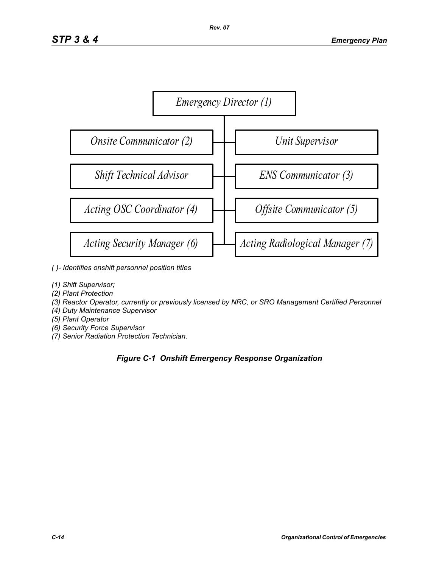

- *( )- Identifies onshift personnel position titles*
- *(1) Shift Supervisor;*
- *(2) Plant Protection*
- *(3) Reactor Operator, currently or previously licensed by NRC, or SRO Management Certified Personnel*
- *(4) Duty Maintenance Supervisor*
- *(5) Plant Operator*
- *(6) Security Force Supervisor*
- *(7) Senior Radiation Protection Technician.*

# *Figure C-1 Onshift Emergency Response Organization*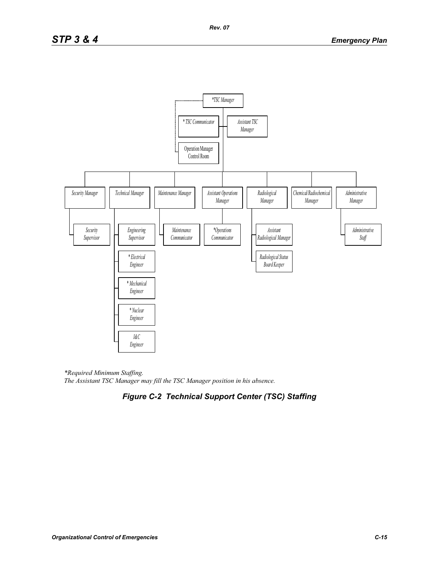

*\*Required Minimum Staffing. The Assistant TSC Manager may fill the TSC Manager position in his absence.* 

# *Figure C-2 Technical Support Center (TSC) Staffing*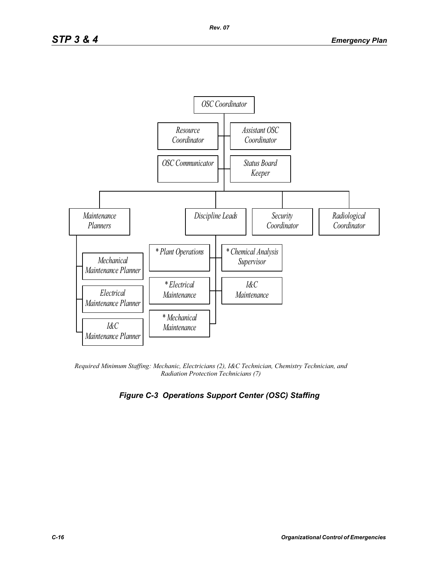

*Required Minimum Staffing: Mechanic, Electricians (2), I&C Technician, Chemistry Technician, and Radiation Protection Technicians (7)* 

# *Figure C-3 Operations Support Center (OSC) Staffing*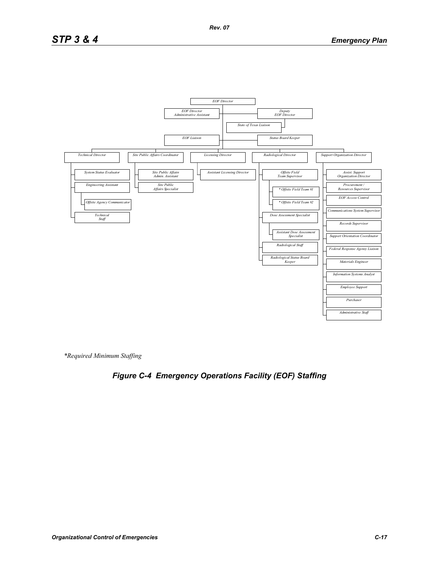

*\*Required Minimum Staffing*

# *Figure C-4 Emergency Operations Facility (EOF) Staffing*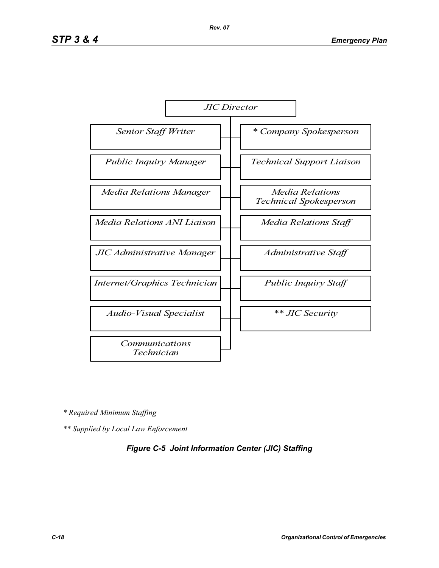

*\* Required Minimum Staffing*

*\*\* Supplied by Local Law Enforcement* 

## *Figure C-5 Joint Information Center (JIC) Staffing*